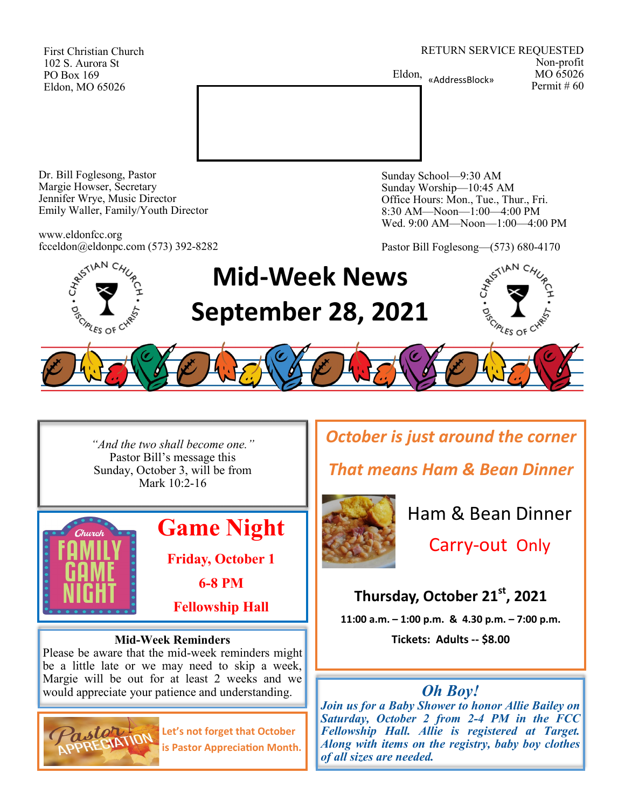First Christian Church 102 S. Aurora St PO Box 169 Eldon, MO 65026

RETURN SERVICE REQUESTED Non-profit Eldon, «AddressBlock» MO 65026 Permit # 60



Dr. Bill Foglesong, Pastor Margie Howser, Secretary Jennifer Wrye, Music Director Emily Waller, Family/Youth Director

www.eldonfcc.org fcceldon@eldonpc.com (573) 392-8282 Sunday School—9:30 AM Sunday Worship—10:45 AM Office Hours: Mon., Tue., Thur., Fri. 8:30 AM—Noon—1:00—4:00 PM Wed. 9:00 AM—Noon—1:00—4:00 PM

Pastor Bill Foglesong—(573) 680-4170



*"And the two shall become one."* Pastor Bill's message this Sunday, October 3, will be from Mark 10:2-16



## **Mid-Week Reminders**

Please be aware that the mid-week reminders might be a little late or we may need to skip a week, Margie will be out for at least 2 weeks and we would appreciate your patience and understanding.



**Let's not forget that October is Pastor Appreciation Month.** *October is just around the corner*

*That means Ham & Bean Dinner*



Ham & Bean Dinner

Carry-out Only

**Thursday, October 21st, 2021**

**11:00 a.m. – 1:00 p.m. & 4.30 p.m. – 7:00 p.m.**

**Tickets: Adults -- \$8.00**

# *Oh Boy!*

*Join us for a Baby Shower to honor Allie Bailey on Saturday, October 2 from 2-4 PM in the FCC Fellowship Hall. Allie is registered at Target. Along with items on the registry, baby boy clothes of all sizes are needed.*